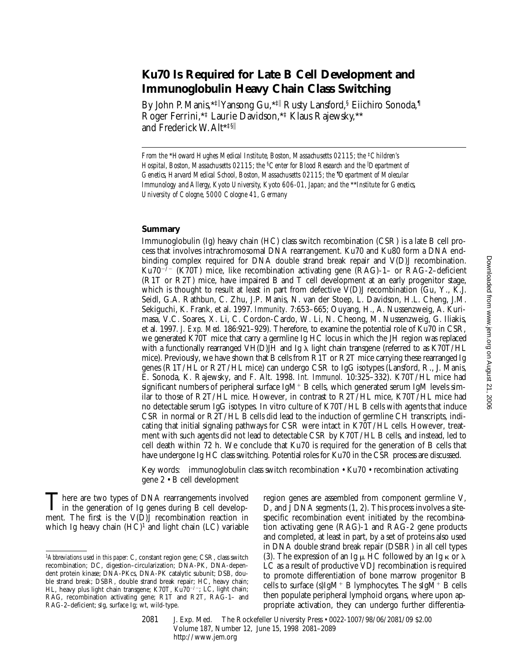# **Ku70 Is Required for Late B Cell Development and Immunoglobulin Heavy Chain Class Switching**

By John P. Manis,\*‡||Yansong Gu,\*‡|| Rusty Lansford,§ Eiichiro Sonoda,¶ Roger Ferrini,\*‡ Laurie Davidson,\*‡ Klaus Rajewsky,\*\* and Frederick W. Alt\*‡§<sup>i</sup>

*From the \*Howard Hughes Medical Institute, Boston, Massachusetts 02115; the <sup>‡</sup><i>Children's Hospital, Boston, Massachusetts 02115; the* §*Center for Blood Research and the* <sup>i</sup> *Department of*  Genetics, Harvard Medical School, Boston, Massachusetts 02115; the <sup>*¶*</sup>Department of Molecular *Immunology and Allergy, Kyoto University, Kyoto 606-01, Japan; and the* \*\**Institute for Genetics, University of Cologne, 5000 Cologne 41, Germany*

#### **Summary**

Immunoglobulin (Ig) heavy chain (HC) class switch recombination (CSR) is a late B cell process that involves intrachromosomal DNA rearrangement. Ku70 and Ku80 form a DNA endbinding complex required for DNA double strand break repair and V(D)J recombination. Ku70<sup>-/-</sup> (K70T) mice, like recombination activating gene (RAG)-1- or RAG-2-deficient (R1T or R2T) mice, have impaired B and T cell development at an early progenitor stage, which is thought to result at least in part from defective V(D)J recombination (Gu, Y., K.J. Seidl, G.A. Rathbun, C. Zhu, J.P. Manis, N. van der Stoep, L. Davidson, H.L. Cheng, J.M. Sekiguchi, K. Frank, et al. 1997. *Immunity.* 7:653–665; Ouyang, H., A. Nussenzweig, A. Kurimasa, V.C. Soares, X. Li, C. Cordon-Cardo, W. Li, N. Cheong, M. Nussenzweig, G. Iliakis, et al. 1997. *J. Exp. Med.* 186:921–929). Therefore, to examine the potential role of Ku70 in CSR, we generated K70T mice that carry a germline Ig HC locus in which the JH region was replaced with a functionally rearranged VH(D)JH and Ig  $\lambda$  light chain transgene (referred to as K70T/HL mice). Previously, we have shown that B cells from R1T or R2T mice carrying these rearranged Ig genes (R1T/HL or R2T/HL mice) can undergo CSR to IgG isotypes (Lansford, R., J. Manis, E. Sonoda, K. Rajewsky, and F. Alt. 1998. *Int. Immunol.* 10:325–332). K70T/HL mice had significant numbers of peripheral surface  $IgM^+B$  cells, which generated serum IgM levels similar to those of R2T/HL mice. However, in contrast to R2T/HL mice, K70T/HL mice had no detectable serum IgG isotypes. In vitro culture of K70T/HL B cells with agents that induce CSR in normal or R2T/HL B cells did lead to the induction of germline CH transcripts, indicating that initial signaling pathways for CSR were intact in K70T/HL cells. However, treatment with such agents did not lead to detectable CSR by K70T/HL B cells, and instead, led to cell death within 72 h. We conclude that Ku70 is required for the generation of B cells that have undergone Ig HC class switching. Potential roles for Ku70 in the CSR process are discussed.

Key words: immunoglobulin class switch recombination • Ku70 • recombination activating gene 2 • B cell development

There are two types of DNA rearrangements involved<br>in the generation of Ig genes during B cell develop-<br>month. The first is the VON recombination resetion in ment. The first is the V(D)J recombination reaction in which Ig heavy chain  $(HC)^1$  and light chain  $(LC)$  variable

region genes are assembled from component germline V, D, and J DNA segments (1, 2). This process involves a sitespecific recombination event initiated by the recombination activating gene (RAG)-1 and RAG-2 gene products and completed, at least in part, by a set of proteins also used in DNA double strand break repair (DSBR) in all cell types (3). The expression of an Ig  $\mu$  HC followed by an Ig  $\kappa$  or  $\lambda$ LC as a result of productive VDJ recombination is required to promote differentiation of bone marrow progenitor B cells to surface (s)IgM<sup>+</sup> B lymphocytes. The sIgM<sup>+</sup> B cells then populate peripheral lymphoid organs, where upon appropriate activation, they can undergo further differentia-

2081 J. Exp. Med. The Rockefeller University Press • 0022-1007/98/06/2081/09 \$2.00 Volume 187, Number 12, June 15, 1998 2081–2089 http://www.jem.org

<sup>1</sup>*Abbreviations used in this paper:* C, constant region gene; CSR, class switch recombination; DC, digestion–circularization; DNA-PK, DNA-dependent protein kinase; DNA-PKcs, DNA-PK catalytic subunit; DSB, double strand break; DSBR, double strand break repair; HC, heavy chain; HL, heavy plus light chain transgene; K70T, Ku70<sup>-/-</sup>; LC, light chain; RAG, recombination activating gene; R1T and R2T, RAG-1– and RAG-2–deficient; sIg, surface Ig; wt, wild-type.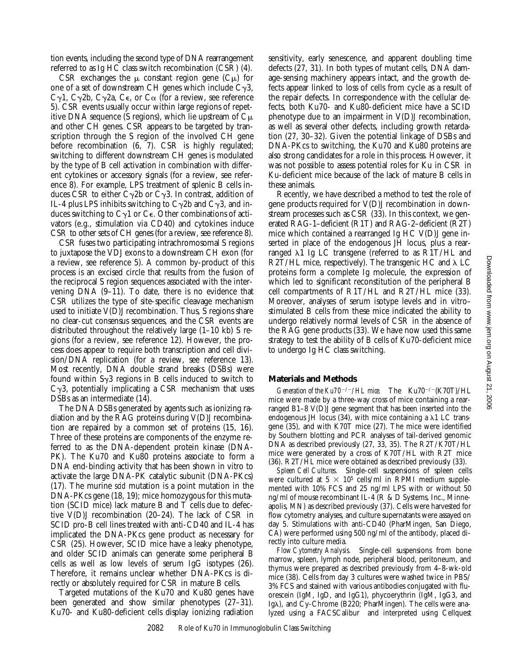tion events, including the second type of DNA rearrangement referred to as Ig HC class switch recombination (CSR) (4).

CSR exchanges the  $\mu$  constant region gene (C $\mu$ ) for one of a set of downstream CH genes which include  $C_{\gamma}$ 3, C $\gamma$ 1, C $\gamma$ 2b, C $\gamma$ 2a, C $\epsilon$ , or C $\alpha$  (for a review, see reference 5). CSR events usually occur within large regions of repetitive DNA sequence (S regions), which lie upstream of  $C_{\mu}$ and other CH genes. CSR appears to be targeted by transcription through the S region of the involved CH gene before recombination (6, 7). CSR is highly regulated; switching to different downstream CH genes is modulated by the type of B cell activation in combination with different cytokines or accessory signals (for a review, see reference 8). For example, LPS treatment of splenic B cells induces CSR to either C $\gamma$ 2b or C $\gamma$ 3. In contrast, addition of IL-4 plus LPS inhibits switching to  $C_{\gamma}$ 2b and  $C_{\gamma}$ 3, and induces switching to  $C_{\gamma}1$  or  $C_{\epsilon}$ . Other combinations of activators (e.g., stimulation via CD40) and cytokines induce CSR to other sets of CH genes (for a review, see reference 8).

CSR fuses two participating intrachromosomal S regions to juxtapose the VDJ exons to a downstream CH exon (for a review, see reference 5). A common by-product of this process is an excised circle that results from the fusion of the reciprocal S region sequences associated with the intervening DNA (9–11). To date, there is no evidence that CSR utilizes the type of site-specific cleavage mechanism used to initiate V(D)J recombination. Thus, S regions share no clear-cut consensus sequences, and the CSR events are distributed throughout the relatively large (1–10 kb) S regions (for a review, see reference 12). However, the process does appear to require both transcription and cell division/DNA replication (for a review, see reference 13). Most recently, DNA double strand breaks (DSBs) were found within  $S_{\gamma}3$  regions in B cells induced to switch to  $C_{\gamma}$ 3, potentially implicating a CSR mechanism that uses DSBs as an intermediate (14).

The DNA DSBs generated by agents such as ionizing radiation and by the RAG proteins during V(D)J recombination are repaired by a common set of proteins (15, 16). Three of these proteins are components of the enzyme referred to as the DNA-dependent protein kinase (DNA-PK). The Ku70 and Ku80 proteins associate to form a DNA end-binding activity that has been shown in vitro to activate the large DNA-PK catalytic subunit (DNA-PKcs) (17). The murine *scid* mutation is a point mutation in the DNA-PKcs gene (18, 19); mice homozygous for this mutation (SCID mice) lack mature B and T cells due to defective V(D)J recombination (20–24). The lack of CSR in SCID pro-B cell lines treated with anti-CD40 and IL-4 has implicated the DNA-PKcs gene product as necessary for CSR (25). However, SCID mice have a leaky phenotype, and older SCID animals can generate some peripheral B cells as well as low levels of serum IgG isotypes (26). Therefore, it remains unclear whether DNA-PKcs is directly or absolutely required for CSR in mature B cells.

Targeted mutations of the Ku70 and Ku80 genes have been generated and show similar phenotypes (27–31). Ku70- and Ku80-deficient cells display ionizing radiation sensitivity, early senescence, and apparent doubling time defects (27, 31). In both types of mutant cells, DNA damage-sensing machinery appears intact, and the growth defects appear linked to loss of cells from cycle as a result of the repair defects. In correspondence with the cellular defects, both Ku70- and Ku80-deficient mice have a SCID phenotype due to an impairment in V(D)J recombination, as well as several other defects, including growth retardation (27, 30–32). Given the potential linkage of DSBs and DNA-PKcs to switching, the Ku70 and Ku80 proteins are also strong candidates for a role in this process. However, it was not possible to assess potential roles for Ku in CSR in Ku-deficient mice because of the lack of mature B cells in these animals.

Recently, we have described a method to test the role of gene products required for V(D)J recombination in downstream processes such as CSR (33). In this context, we generated RAG-1–deficient (R1T) and RAG-2–deficient (R2T) mice which contained a rearranged Ig HC V(D)J gene inserted in place of the endogenous JH locus, plus a rearranged  $\lambda$ 1 Ig LC transgene (referred to as R1T/HL and R2T/HL mice, respectively). The transgenic HC and  $\lambda$  LC proteins form a complete Ig molecule, the expression of which led to significant reconstitution of the peripheral B cell compartments of R1T/HL and R2T/HL mice (33). Moreover, analyses of serum isotype levels and in vitro– stimulated B cells from these mice indicated the ability to undergo relatively normal levels of CSR in the absence of the RAG gene products (33). We have now used this same strategy to test the ability of B cells of Ku70-deficient mice to undergo Ig HC class switching.

## **Materials and Methods**

*Generation of the Ku70<sup>-/-</sup>/HL mice.* The Ku70<sup>-/-</sup>(K70T)/HL mice were made by a three-way cross of mice containing a rearranged B1–8 V(D)J gene segment that has been inserted into the endogenous JH locus  $(34)$ , with mice containing a  $\lambda$ 1 LC transgene (35), and with K70T mice (27). The mice were identified by Southern blotting and PCR analyses of tail-derived genomic DNA as described previously (27, 33, 35). The R2T/K70T/HL mice were generated by a cross of K70T/HL with R2T mice (36). R2T/HL mice were obtained as described previously (33).

*Spleen Cell Cultures.* Single-cell suspensions of spleen cells were cultured at  $5 \times 10^5$  cells/ml in RPMI medium supplemented with 10% FCS and 25 ng/ml LPS with or without 50 ng/ml of mouse recombinant IL-4 (R & D Systems, Inc., Minneapolis, MN) as described previously (37). Cells were harvested for flow cytometry analyses, and culture supernatants were assayed on day 5. Stimulations with anti-CD40 (PharMingen, San Diego, CA) were performed using 500 ng/ml of the antibody, placed directly into culture media.

*Flow Cytometry Analysis.* Single-cell suspensions from bone marrow, spleen, lymph node, peripheral blood, peritoneum, and thymus were prepared as described previously from 4–8-wk-old mice (38). Cells from day 3 cultures were washed twice in PBS/ 3% FCS and stained with various antibodies conjugated with fluorescein (IgM, IgD, and IgG1), phycoerythrin (IgM, IgG3, and Ig $\lambda$ ), and Cy-Chrome (B220; PharMingen). The cells were analyzed using a FACSCalibur® and interpreted using Cellquest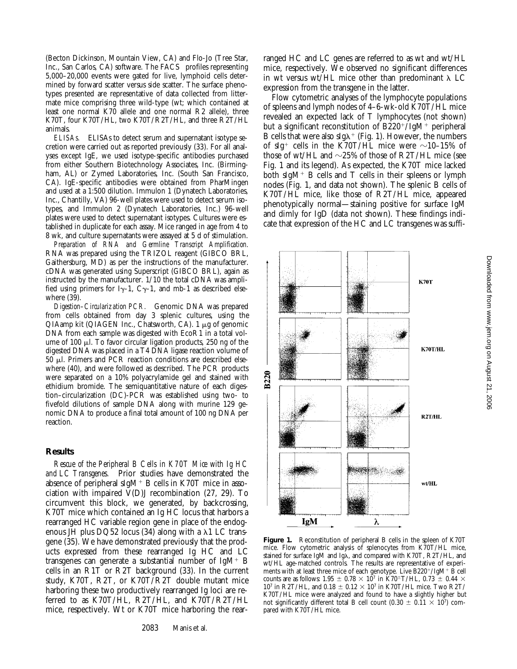(Becton Dickinson, Mountain View, CA) and Flo-Jo (Tree Star, Inc., San Carlos, CA) software. The FACS<sup>®</sup> profiles representing 5,000–20,000 events were gated for live, lymphoid cells determined by forward scatter versus side scatter. The surface phenotypes presented are representative of data collected from littermate mice comprising three wild-type (wt; which contained at least one normal K70 allele and one normal R2 allele), three K70T, four K70T/HL, two K70T/R2T/HL, and three R2T/HL animals.

*ELISAs.* ELISAs to detect serum and supernatant isotype secretion were carried out as reported previously (33). For all analyses except IgE, we used isotype-specific antibodies purchased from either Southern Biotechnology Associates, Inc. (Birmingham, AL) or Zymed Laboratories, Inc. (South San Francisco, CA). IgE-specific antibodies were obtained from PharMingen and used at a 1:500 dilution. Immulon 1 (Dynatech Laboratories, Inc., Chantilly, VA) 96-well plates were used to detect serum isotypes, and Immulon 2 (Dynatech Laboratories, Inc.) 96-well plates were used to detect supernatant isotypes. Cultures were established in duplicate for each assay. Mice ranged in age from 4 to 8 wk, and culture supernatants were assayed at 5 d of stimulation.

*Preparation of RNA and Germline Transcript Amplification.* RNA was prepared using the TRIZOL reagent (GIBCO BRL, Gaithersburg, MD) as per the instructions of the manufacturer. cDNA was generated using Superscript (GIBCO BRL), again as instructed by the manufacturer. 1/10 the total cDNA was amplified using primers for I<sub>Y</sub>-1, C<sub>Y</sub>-1, and mb-1 as described elsewhere (39).

*Digestion–Circularization PCR.* Genomic DNA was prepared from cells obtained from day 3 splenic cultures, using the  $QIAamp$  kit ( $QIAGEN$  Inc., Chatsworth, CA). 1  $\mu$ g of genomic DNA from each sample was digested with EcoR1 in a total volume of 100  $\mu$ l. To favor circular ligation products, 250 ng of the digested DNA was placed in a T4 DNA ligase reaction volume of  $50$   $\mu$ l. Primers and PCR reaction conditions are described elsewhere (40), and were followed as described. The PCR products were separated on a 10% polyacrylamide gel and stained with ethidium bromide. The semiquantitative nature of each digestion–circularization (DC)-PCR was established using two- to fivefold dilutions of sample DNA along with murine 129 genomic DNA to produce a final total amount of 100 ng DNA per reaction.

#### **Results**

*Rescue of the Peripheral B Cells in K70T Mice with Ig HC and LC Transgenes.* Prior studies have demonstrated the absence of peripheral sIgM<sup>+</sup> B cells in K70T mice in association with impaired V(D)J recombination (27, 29). To circumvent this block, we generated, by backcrossing, K70T mice which contained an Ig HC locus that harbors a rearranged HC variable region gene in place of the endogenous JH plus DQ52 locus (34) along with a  $\lambda$ 1 LC transgene (35). We have demonstrated previously that the products expressed from these rearranged Ig HC and LC transgenes can generate a substantial number of  $IgM^+$  B cells in an R1T or R2T background (33). In the current study, K70T, R2T, or K70T/R2T double mutant mice harboring these two productively rearranged Ig loci are referred to as K70T/HL, R2T/HL, and K70T/R2T/HL mice, respectively. Wt or K70T mice harboring the rearranged HC and LC genes are referred to as wt and wt/HL mice, respectively. We observed no significant differences in wt versus wt/HL mice other than predominant  $\lambda$  LC expression from the transgene in the latter.

Flow cytometric analyses of the lymphocyte populations of spleens and lymph nodes of 4–6-wk-old K70T/HL mice revealed an expected lack of T lymphocytes (not shown) but a significant reconstitution of  $B220^+/IgM^+$  peripheral B cells that were also sIg $\lambda^+$  (Fig. 1). However, the numbers of sIg<sup>+</sup> cells in the K70T/HL mice were  $\sim$ 10–15% of those of wt/HL and  $\sim$ 25% of those of R2T/HL mice (see Fig. 1 and its legend). As expected, the K70T mice lacked both sIgM<sup>+</sup> B cells and T cells in their spleens or lymph nodes (Fig. 1, and data not shown). The splenic B cells of K70T/HL mice, like those of R2T/HL mice, appeared phenotypically normal—staining positive for surface IgM and dimly for IgD (data not shown). These findings indicate that expression of the HC and LC transgenes was suffi-



Figure 1. Reconstitution of peripheral B cells in the spleen of K70T mice. Flow cytometric analysis of splenocytes from K70T/HL mice, stained for surface IgM and Ig $\lambda$ , and compared with K70T, R2T/HL, and wt/HL age-matched controls*.* The results are representative of experiments with at least three mice of each genotype. Live B220<sup>+</sup>/IgM<sup>+</sup> B cell counts are as follows: 1.95  $\pm$  0.78  $\times$  10<sup>7</sup> in K70<sup> $\pm$ </sup>T/HL, 0.73  $\pm$  0.44  $\times$ 10<sup>7</sup> in R2T/HL, and  $0.18 \pm 0.12 \times 10^7$  in K70T/HL mice. Two R2T/ K70T/HL mice were analyzed and found to have a slightly higher but not significantly different total B cell count (0.30  $\pm$  0.11  $\times$  107) compared with K70T/HL mice.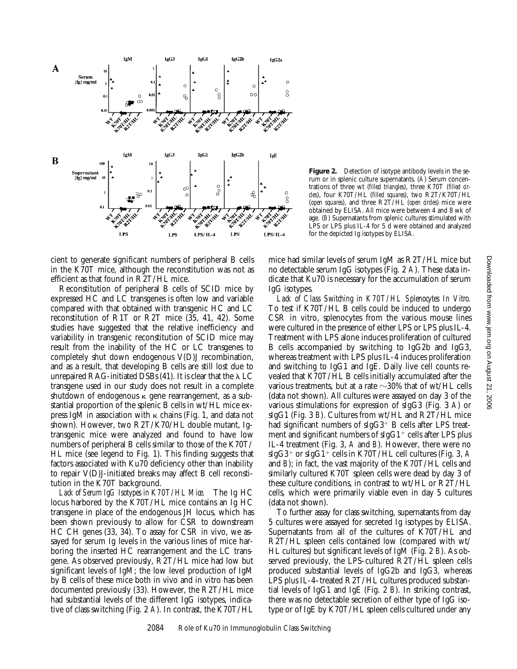

Figure 2. Detection of isotype antibody levels in the serum or in splenic culture supernatants. (*A*) Serum concentrations of three wt (*filled triangles*), three K70T (*filled circles*), four K70T/HL (*filled squares*), two R2T/K70T/HL (*open squares*), and three R2T/HL (*open circles*) mice were obtained by ELISA. All mice were between 4 and 8 wk of age. (*B*) Supernatants from splenic cultures stimulated with LPS or LPS plus IL-4 for 5 d were obtained and analyzed for the depicted Ig isotypes by ELISA.

cient to generate significant numbers of peripheral B cells in the K70T mice, although the reconstitution was not as efficient as that found in R2T/HL mice.

Reconstitution of peripheral B cells of SCID mice by expressed HC and LC transgenes is often low and variable compared with that obtained with transgenic HC and LC reconstitution of R1T or R2T mice (35, 41, 42). Some studies have suggested that the relative inefficiency and variability in transgenic reconstitution of SCID mice may result from the inability of the HC or LC transgenes to completely shut down endogenous V(D)J recombination, and as a result, that developing B cells are still lost due to unrepaired RAG-initiated DSBs (41). It is clear that the  $\lambda$  LC transgene used in our study does not result in a complete shutdown of endogenous  $\kappa$  gene rearrangement, as a substantial proportion of the splenic B cells in wt/HL mice express IgM in association with  $\kappa$  chains (Fig. 1, and data not shown). However, two R2T/K70/HL double mutant, Igtransgenic mice were analyzed and found to have low numbers of peripheral B cells similar to those of the K70T/ HL mice (see legend to Fig. 1). This finding suggests that factors associated with Ku70 deficiency other than inability to repair V(D)J-initiated breaks may affect B cell reconstitution in the K70T background.

*Lack of Serum IgG Isotypes in K70T/HL Mice.* The Ig HC locus harbored by the K70T/HL mice contains an Ig HC transgene in place of the endogenous JH locus, which has been shown previously to allow for CSR to downstream HC CH genes (33, 34). To assay for CSR in vivo, we assayed for serum Ig levels in the various lines of mice harboring the inserted HC rearrangement and the LC transgene. As observed previously, R2T/HL mice had low but significant levels of IgM; the low level production of IgM by B cells of these mice both in vivo and in vitro has been documented previously (33). However, the R2T/HL mice had substantial levels of the different IgG isotypes, indicative of class switching (Fig. 2 *A*). In contrast, the K70T/HL

mice had similar levels of serum IgM as R2T/HL mice but no detectable serum IgG isotypes (Fig. 2 *A*). These data indicate that Ku70 is necessary for the accumulation of serum IgG isotypes.

*Lack of Class Switching in K70T/HL Splenocytes In Vitro.* To test if K70T/HL B cells could be induced to undergo CSR in vitro, splenocytes from the various mouse lines were cultured in the presence of either LPS or LPS plus IL-4. Treatment with LPS alone induces proliferation of cultured B cells accompanied by switching to IgG2b and IgG3, whereas treatment with LPS plus IL-4 induces proliferation and switching to IgG1 and IgE. Daily live cell counts revealed that K70T/HL B cells initially accumulated after the various treatments, but at a rate  $\sim$ 30% that of wt/HL cells (data not shown). All cultures were assayed on day 3 of the various stimulations for expression of sIgG3 (Fig. 3 *A*) or sIgG1 (Fig. 3 *B*). Cultures from wt/HL and R2T/HL mice had significant numbers of  $sIgG3$ <sup>+</sup> B cells after LPS treatment and significant numbers of  $\text{slgG1}^+$  cells after LPS plus IL-4 treatment (Fig. 3, *A* and *B*). However, there were no  $sIgG3^+$  or  $sIgG1^+$  cells in K70T/HL cell cultures (Fig. 3, A and *B*); in fact, the vast majority of the K70T/HL cells and similarly cultured K70T spleen cells were dead by day 3 of these culture conditions, in contrast to wt/HL or R2T/HL cells, which were primarily viable even in day 5 cultures (data not shown).

To further assay for class switching, supernatants from day 5 cultures were assayed for secreted Ig isotypes by ELISA. Supernatants from all of the cultures of K70T/HL and R2T/HL spleen cells contained low (compared with wt/ HL cultures) but significant levels of IgM (Fig. 2 *B*). As observed previously, the LPS-cultured R2T/HL spleen cells produced substantial levels of IgG2b and IgG3, whereas LPS plus IL-4–treated R2T/HL cultures produced substantial levels of IgG1 and IgE (Fig. 2 *B*). In striking contrast, there was no detectable secretion of either type of IgG isotype or of IgE by K70T/HL spleen cells cultured under any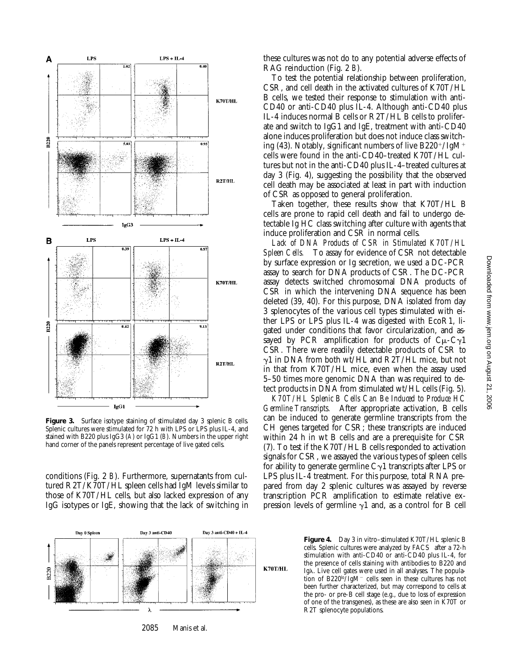

**Figure 3.** Surface isotype staining of stimulated day 3 splenic B cells. Splenic cultures were stimulated for 72 h with LPS or LPS plus IL-4, and stained with B220 plus IgG3 (*A*) or IgG1 (*B*). Numbers in the upper right hand corner of the panels represent percentage of live gated cells.

conditions (Fig. 2 *B*). Furthermore, supernatants from cultured R2T/K70T/HL spleen cells had IgM levels similar to those of K70T/HL cells, but also lacked expression of any IgG isotypes or IgE, showing that the lack of switching in

these cultures was not do to any potential adverse effects of RAG reinduction (Fig. 2 *B*).

To test the potential relationship between proliferation, CSR, and cell death in the activated cultures of K70T/HL B cells, we tested their response to stimulation with anti-CD40 or anti-CD40 plus IL-4. Although anti-CD40 plus IL-4 induces normal B cells or R2T/HL B cells to proliferate and switch to IgG1 and IgE, treatment with anti-CD40 alone induces proliferation but does not induce class switching (43). Notably, significant numbers of live  $B220<sup>+/</sup>IgM<sup>+</sup>$ cells were found in the anti-CD40–treated K70T/HL cultures but not in the anti-CD40 plus IL-4–treated cultures at day 3 (Fig. 4), suggesting the possibility that the observed cell death may be associated at least in part with induction of CSR as opposed to general proliferation.

Taken together, these results show that K70T/HL B cells are prone to rapid cell death and fail to undergo detectable Ig HC class switching after culture with agents that induce proliferation and CSR in normal cells.

*Lack of DNA Products of CSR in Stimulated K70T/HL Spleen Cells.* To assay for evidence of CSR not detectable by surface expression or Ig secretion, we used a DC-PCR assay to search for DNA products of CSR. The DC-PCR assay detects switched chromosomal DNA products of CSR in which the intervening DNA sequence has been deleted (39, 40). For this purpose, DNA isolated from day 3 splenocytes of the various cell types stimulated with either LPS or LPS plus IL-4 was digested with EcoR1, ligated under conditions that favor circularization, and assayed by PCR amplification for products of  $C_{\mu}$ -C $\gamma$ 1 CSR. There were readily detectable products of CSR to  $\gamma$ 1 in DNA from both wt/HL and R2T/HL mice, but not in that from K70T/HL mice, even when the assay used 5–50 times more genomic DNA than was required to detect products in DNA from stimulated wt/HL cells (Fig. 5).

*K70T/HL Splenic B Cells Can Be Induced to Produce HC Germline Transcripts.* After appropriate activation, B cells can be induced to generate germline transcripts from the CH genes targeted for CSR; these transcripts are induced within 24 h in wt B cells and are a prerequisite for CSR (7). To test if the K70T/HL B cells responded to activation signals for CSR, we assayed the various types of spleen cells for ability to generate germline  $C_{\gamma}1$  transcripts after LPS or LPS plus IL-4 treatment. For this purpose, total RNA prepared from day 2 splenic cultures was assayed by reverse transcription PCR amplification to estimate relative expression levels of germline  $\gamma$ 1 and, as a control for B cell



Figure 4. Day 3 in vitro–stimulated K70T/HL splenic B cells. Splenic cultures were analyzed by FACS® after a 72-h stimulation with anti-CD40 or anti-CD40 plus IL-4, for the presence of cells staining with antibodies to B220 and Ig $\lambda$ . Live cell gates were used in all analyses. The population of B220<sup>lo</sup>/IgM<sup>-</sup> cells seen in these cultures has not been further characterized, but may correspond to cells at the pro- or pre-B cell stage (e.g., due to loss of expression of one of the transgenes), as these are also seen in K70T or R2T splenocyte populations.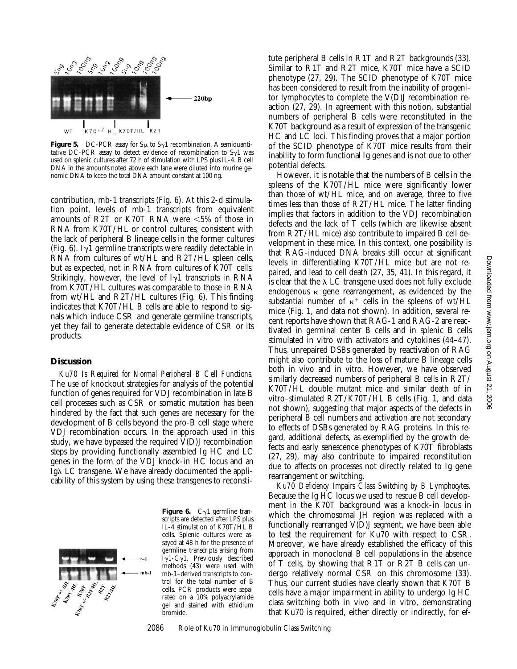

**Figure 5.** DC-PCR assay for  $S_{\mu}$  to  $S_{\gamma}$ 1 recombination. A semiquantitative DC-PCR assay to detect evidence of recombination to  $S_{\gamma}1$  was used on splenic cultures after 72 h of stimulation with LPS plus IL-4. B cell DNA in the amounts noted above each lane were diluted into murine genomic DNA to keep the total DNA amount constant at 100 ng.

contribution, mb-1 transcripts (Fig. 6). At this 2-d stimulation point, levels of mb-1 transcripts from equivalent amounts of R2T or K70T RNA were  $<5\%$  of those in RNA from K70T/HL or control cultures, consistent with the lack of peripheral B lineage cells in the former cultures (Fig. 6). I $\gamma$ 1 germline transcripts were readily detectable in RNA from cultures of wt/HL and R2T/HL spleen cells, but as expected, not in RNA from cultures of K70T cells. Strikingly, however, the level of  $I_{\gamma}1$  transcripts in RNA from K70T/HL cultures was comparable to those in RNA from wt/HL and R2T/HL cultures (Fig. 6). This finding indicates that K70T/HL B cells are able to respond to signals which induce CSR and generate germline transcripts, yet they fail to generate detectable evidence of CSR or its products.

### **Discussion**

*Ku70 Is Required for Normal Peripheral B Cell Functions.* The use of knockout strategies for analysis of the potential function of genes required for VDJ recombination in late B cell processes such as CSR or somatic mutation has been hindered by the fact that such genes are necessary for the development of B cells beyond the pro-B cell stage where VDJ recombination occurs. In the approach used in this study, we have bypassed the required V(D)J recombination steps by providing functionally assembled Ig HC and LC genes in the form of the VDJ knock-in HC locus and an Ig $\lambda$  LC transgene. We have already documented the applicability of this system by using these transgenes to reconsti-



**Figure 6.**  $C_{\gamma}1$  germline transcripts are detected after LPS plus IL-4 stimulation of K70T/HL B cells. Splenic cultures were assayed at 48 h for the presence of germline transcripts arising from  $\bar{I}\gamma$ 1-C $\gamma$ 1. Previously described methods (43) were used with mb-1–derived transcripts to control for the total number of B cells. PCR products were separated on a 10% polyacrylamide gel and stained with ethidium bromide.

tute peripheral B cells in R1T and R2T backgrounds (33). Similar to R1T and R2T mice, K70T mice have a SCID phenotype (27, 29). The SCID phenotype of K70T mice has been considered to result from the inability of progenitor lymphocytes to complete the V(D)J recombination reaction (27, 29). In agreement with this notion, substantial numbers of peripheral B cells were reconstituted in the K70T background as a result of expression of the transgenic HC and LC loci. This finding proves that a major portion of the SCID phenotype of K70T mice results from their inability to form functional Ig genes and is not due to other potential defects.

However, it is notable that the numbers of B cells in the spleens of the K70T/HL mice were significantly lower than those of wt/HL mice, and on average, three to five times less than those of R2T/HL mice. The latter finding implies that factors in addition to the VDJ recombination defects and the lack of T cells (which are likewise absent from R2T/HL mice) also contribute to impaired B cell development in these mice. In this context, one possibility is that RAG-induced DNA breaks still occur at significant levels in differentiating K70T/HL mice but are not repaired, and lead to cell death (27, 35, 41). In this regard, it is clear that the  $\lambda$  LC transgene used does not fully exclude endogenous  $\kappa$  gene rearrangement, as evidenced by the substantial number of  $\kappa^+$  cells in the spleens of wt/HL mice (Fig. 1, and data not shown). In addition, several recent reports have shown that RAG-1 and RAG-2 are reactivated in germinal center B cells and in splenic B cells stimulated in vitro with activators and cytokines (44–47). Thus, unrepaired DSBs generated by reactivation of RAG might also contribute to the loss of mature B lineage cells both in vivo and in vitro. However, we have observed similarly decreased numbers of peripheral B cells in R2T/ K70T/HL double mutant mice and similar death of in vitro–stimulated R2T/K70T/HL B cells (Fig. 1, and data not shown), suggesting that major aspects of the defects in peripheral B cell numbers and activation are not secondary to effects of DSBs generated by RAG proteins. In this regard, additional defects, as exemplified by the growth defects and early senescence phenotypes of K70T fibroblasts (27, 29), may also contribute to impaired reconstitution due to affects on processes not directly related to Ig gene rearrangement or switching.

*Ku70 Deficiency Impairs Class Switching by B Lymphocytes.* Because the Ig HC locus we used to rescue B cell development in the K70T background was a knock-in locus in which the chromosomal JH region was replaced with a functionally rearranged V(D)J segment, we have been able to test the requirement for Ku70 with respect to CSR. Moreover, we have already established the efficacy of this approach in monoclonal B cell populations in the absence of T cells, by showing that R1T or R2T B cells can undergo relatively normal CSR on this chromosome (33). Thus, our current studies have clearly shown that K70T B cells have a major impairment in ability to undergo Ig HC class switching both in vivo and in vitro, demonstrating that Ku70 is required, either directly or indirectly, for ef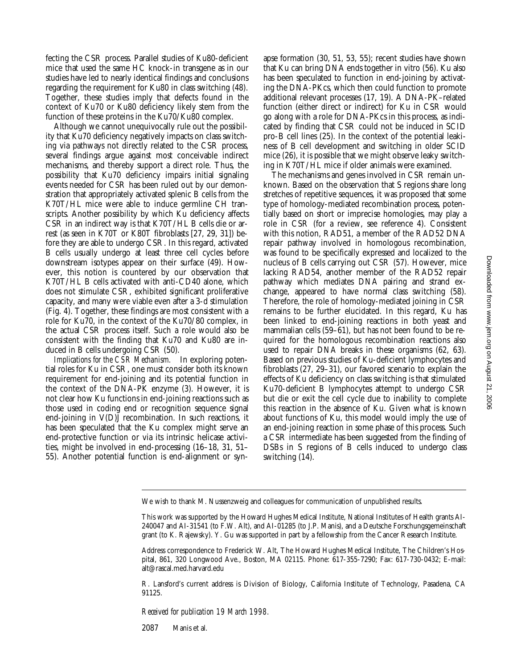fecting the CSR process. Parallel studies of Ku80-deficient mice that used the same HC knock-in transgene as in our studies have led to nearly identical findings and conclusions regarding the requirement for Ku80 in class switching (48). Together, these studies imply that defects found in the context of Ku70 or Ku80 deficiency likely stem from the function of these proteins in the Ku70/Ku80 complex.

Although we cannot unequivocally rule out the possibility that Ku70 deficiency negatively impacts on class switching via pathways not directly related to the CSR process, several findings argue against most conceivable indirect mechanisms, and thereby support a direct role. Thus, the possibility that Ku70 deficiency impairs initial signaling events needed for CSR has been ruled out by our demonstration that appropriately activated splenic B cells from the K70T/HL mice were able to induce germline CH transcripts. Another possibility by which Ku deficiency affects CSR in an indirect way is that K70T/HL B cells die or arrest (as seen in K70T or K80T fibroblasts [27, 29, 31]) before they are able to undergo CSR. In this regard, activated B cells usually undergo at least three cell cycles before downstream isotypes appear on their surface (49). However, this notion is countered by our observation that K70T/HL B cells activated with anti-CD40 alone, which does not stimulate CSR, exhibited significant proliferative capacity, and many were viable even after a 3-d stimulation (Fig. 4). Together, these findings are most consistent with a role for Ku70, in the context of the Ku70/80 complex, in the actual CSR process itself. Such a role would also be consistent with the finding that Ku70 and Ku80 are induced in B cells undergoing CSR (50).

*Implications for the CSR Mechanism.* In exploring potential roles for Ku in CSR, one must consider both its known requirement for end-joining and its potential function in the context of the DNA-PK enzyme (3). However, it is not clear how Ku functions in end-joining reactions such as those used in coding end or recognition sequence signal end-joining in V(D)J recombination. In such reactions, it has been speculated that the Ku complex might serve an end-protective function or via its intrinsic helicase activities, might be involved in end-processing (16–18, 31, 51– 55). Another potential function is end-alignment or synapse formation (30, 51, 53, 55); recent studies have shown that Ku can bring DNA ends together in vitro (56). Ku also has been speculated to function in end-joining by activating the DNA-PKcs, which then could function to promote additional relevant processes (17, 19). A DNA-PK–related function (either direct or indirect) for Ku in CSR would go along with a role for DNA-PKcs in this process, as indicated by finding that CSR could not be induced in SCID pro-B cell lines (25). In the context of the potential leakiness of B cell development and switching in older SCID mice (26), it is possible that we might observe leaky switching in K70T/HL mice if older animals were examined.

The mechanisms and genes involved in CSR remain unknown. Based on the observation that S regions share long stretches of repetitive sequences, it was proposed that some type of homology-mediated recombination process, potentially based on short or imprecise homologies, may play a role in CSR (for a review, see reference 4). Consistent with this notion, RAD51, a member of the RAD52 DNA repair pathway involved in homologous recombination, was found to be specifically expressed and localized to the nucleus of B cells carrying out CSR (57). However, mice lacking RAD54, another member of the RAD52 repair pathway which mediates DNA pairing and strand exchange, appeared to have normal class switching (58). Therefore, the role of homology-mediated joining in CSR remains to be further elucidated. In this regard, Ku has been linked to end-joining reactions in both yeast and mammalian cells (59–61), but has not been found to be required for the homologous recombination reactions also used to repair DNA breaks in these organisms (62, 63). Based on previous studies of Ku-deficient lymphocytes and fibroblasts (27, 29–31), our favored scenario to explain the effects of Ku deficiency on class switching is that stimulated Ku70-deficient B lymphocytes attempt to undergo CSR but die or exit the cell cycle due to inability to complete this reaction in the absence of Ku. Given what is known about functions of Ku, this model would imply the use of an end-joining reaction in some phase of this process. Such a CSR intermediate has been suggested from the finding of DSBs in S regions of B cells induced to undergo class switching (14).

R. Lansford's current address is Division of Biology, California Institute of Technology, Pasadena, CA 91125.

*Received for publication 19 March 1998.*

2087 Manis et al.

We wish to thank M. Nussenzweig and colleagues for communication of unpublished results.

This work was supported by the Howard Hughes Medical Institute, National Institutes of Health grants AI-240047 and AI-31541 (to F.W. Alt), and AI-01285 (to J.P. Manis), and a Deutsche Forschungsgemeinschaft grant (to K. Rajewsky). Y. Gu was supported in part by a fellowship from the Cancer Research Institute.

Address correspondence to Frederick W. Alt, The Howard Hughes Medical Institute, The Children's Hospital, 861, 320 Longwood Ave., Boston, MA 02115. Phone: 617-355-7290; Fax: 617-730-0432; E-mail: alt@rascal.med.harvard.edu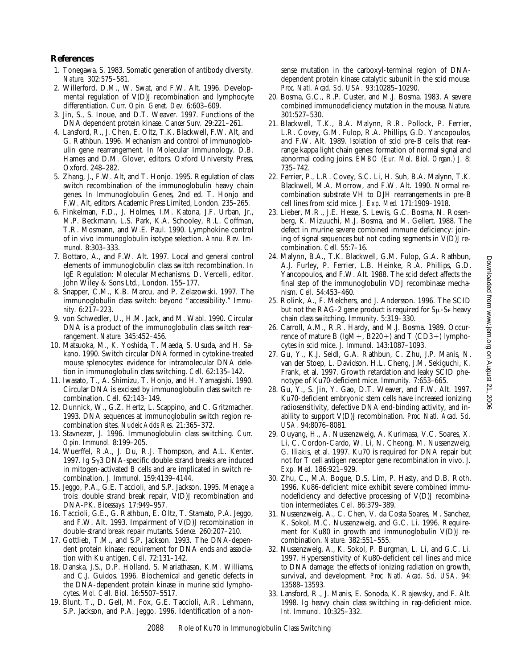## **References**

- 1. Tonegawa, S. 1983. Somatic generation of antibody diversity. *Nature.* 302:575–581.
- 2. Willerford, D.M., W. Swat, and F.W. Alt. 1996. Developmental regulation of V(D)J recombination and lymphocyte differentiation. *Curr. Opin. Genet. Dev.* 6:603–609.
- 3. Jin, S., S. Inoue, and D.T. Weaver. 1997. Functions of the DNA dependent protein kinase. *Cancer Surv.* 29:221–261.
- 4. Lansford, R., J. Chen, E. Oltz, T.K. Blackwell, F.W. Alt, and G. Rathbun. 1996. Mechanism and control of immunoglobulin gene rearrangement. *In* Molecular Immunology. D.B. Hames and D.M. Glover, editors. Oxford University Press, Oxford. 248–282.
- 5. Zhang, J., F.W. Alt, and T. Honjo. 1995. Regulation of class switch recombination of the immunoglobulin heavy chain genes. *In* Immunoglobulin Genes, 2nd ed. T. Honjo and F.W. Alt, editors. Academic Press Limited, London. 235–265.
- 6. Finkelman, F.D., J. Holmes, I.M. Katona, J.F. Urban, Jr., M.P. Beckmann, L.S. Park, K.A. Schooley, R.L. Coffman, T.R. Mosmann, and W.E. Paul. 1990. Lymphokine control of in vivo immunoglobulin isotype selection. *Annu. Rev. Immunol.* 8:303–333.
- 7. Bottaro, A., and F.W. Alt. 1997. Local and general control elements of immunoglobulin class switch recombination. *In* IgE Regulation: Molecular Mechanisms. D. Vercelli, editor. John Wiley & Sons Ltd., London. 155–177.
- 8. Snapper, C.M., K.B. Marcu, and P. Zelazowski. 1997. The immunoglobulin class switch: beyond "accessibility." *Immunity.* 6:217–223.
- 9. von Schwedler, U., H.M. Jack, and M. Wabl. 1990. Circular DNA is a product of the immunoglobulin class switch rearrangement. *Nature.* 345:452–456.
- 10. Matsuoka, M., K. Yoshida, T. Maeda, S. Usuda, and H. Sakano. 1990. Switch circular DNA formed in cytokine-treated mouse splenocytes: evidence for intramolecular DNA deletion in immunoglobulin class switching. *Cell.* 62:135–142.
- 11. Iwasato, T., A. Shimizu, T. Honjo, and H. Yamagishi. 1990. Circular DNA is excised by immunoglobulin class switch recombination. *Cell.* 62:143–149.
- 12. Dunnick, W., G.Z. Hertz, L. Scappino, and C. Gritzmacher. 1993. DNA sequences at immunoglobulin switch region recombination sites. *Nucleic Acids Res.* 21:365–372.
- 13. Stavnezer, J. 1996. Immunoglobulin class switching. *Curr. Opin. Immunol.* 8:199–205.
- 14. Wuerffel, R.A., J. Du, R.J. Thompson, and A.L. Kenter. 1997. Ig S $\gamma$ 3 DNA-specific double strand breaks are induced in mitogen-activated B cells and are implicated in switch recombination. *J. Immunol.* 159:4139–4144.
- 15. Jeggo, P.A., G.E. Taccioli, and S.P. Jackson. 1995. Menage a trois: double strand break repair, V(D)J recombination and DNA-PK. *Bioessays.* 17:949–957.
- 16. Taccioli, G.E., G. Rathbun, E. Oltz, T. Stamato, P.A. Jeggo, and F.W. Alt. 1993. Impairment of V(D)J recombination in double-strand break repair mutants. *Science.* 260:207–210.
- 17. Gottlieb, T.M., and S.P. Jackson. 1993. The DNA-dependent protein kinase: requirement for DNA ends and association with Ku antigen. *Cell.* 72:131–142.
- 18. Danska, J.S., D.P. Holland, S. Mariathasan, K.M. Williams, and C.J. Guidos. 1996. Biochemical and genetic defects in the DNA-dependent protein kinase in murine scid lymphocytes. *Mol. Cell. Biol.* 16:5507–5517.
- 19. Blunt, T., D. Gell, M. Fox, G.E. Taccioli, A.R. Lehmann, S.P. Jackson, and P.A. Jeggo. 1996. Identification of a non-

sense mutation in the carboxyl-terminal region of DNAdependent protein kinase catalytic subunit in the scid mouse. *Proc. Natl. Acad. Sci. USA.* 93:10285–10290.

- 20. Bosma, G.C., R.P. Custer, and M.J. Bosma. 1983. A severe combined immunodeficiency mutation in the mouse. *Nature.* 301:527–530.
- 21. Blackwell, T.K., B.A. Malynn, R.R. Pollock, P. Ferrier, L.R. Covey, G.M. Fulop, R.A. Phillips, G.D. Yancopoulos, and F.W. Alt. 1989. Isolation of scid pre-B cells that rearrange kappa light chain genes: formation of normal signal and abnormal coding joins. *EMBO (Eur. Mol. Biol. Organ.) J.* 8: 735–742.
- 22. Ferrier, P., L.R. Covey, S.C. Li, H. Suh, B.A. Malynn, T.K. Blackwell, M.A. Morrow, and F.W. Alt. 1990. Normal recombination substrate VH to DJH rearrangements in pre-B cell lines from scid mice. *J. Exp. Med.* 171:1909–1918.
- 23. Lieber, M.R., J.E. Hesse, S. Lewis, G.C. Bosma, N. Rosenberg, K. Mizuuchi, M.J. Bosma, and M. Gellert. 1988. The defect in murine severe combined immune deficiency: joining of signal sequences but not coding segments in  $V(D)J$  recombination. *Cell.* 55:7–16.
- 24. Malynn, B.A., T.K. Blackwell, G.M. Fulop, G.A. Rathbun, A.J. Furley, P. Ferrier, L.B. Heinke, R.A. Phillips, G.D. Yancopoulos, and F.W. Alt. 1988. The scid defect affects the final step of the immunoglobulin VDJ recombinase mechanism. *Cell.* 54:453–460.
- 25. Rolink, A., F. Melchers, and J. Andersson. 1996. The SCID but not the RAG-2 gene product is required for  $S_{\mu}$ -Se heavy chain class switching. *Immunity.* 5:319–330.
- 26. Carroll, A.M., R.R. Hardy, and M.J. Bosma. 1989. Occurrence of mature B (IgM+, B220+) and T (CD3+) lymphocytes in scid mice. *J. Immunol.* 143:1087–1093.
- 27. Gu, Y., K.J. Seidl, G.A. Rathbun, C. Zhu, J.P. Manis, N. van der Stoep, L. Davidson, H.L. Cheng, J.M. Sekiguchi, K. Frank, et al. 1997. Growth retardation and leaky SCID phenotype of Ku70-deficient mice. *Immunity.* 7:653–665.
- 28. Gu, Y., S. Jin, Y. Gao, D.T. Weaver, and F.W. Alt. 1997. Ku70-deficient embryonic stem cells have increased ionizing radiosensitivity, defective DNA end-binding activity, and inability to support V(D)J recombination. *Proc. Natl. Acad. Sci. USA.* 94:8076–8081.
- 29. Ouyang, H., A. Nussenzweig, A. Kurimasa, V.C. Soares, X. Li, C. Cordon-Cardo, W. Li, N. Cheong, M. Nussenzweig, G. Iliakis, et al. 1997. Ku70 is required for DNA repair but not for T cell antigen receptor gene recombination in vivo. *J. Exp. Med.* 186:921–929.
- 30. Zhu, C., M.A. Bogue, D.S. Lim, P. Hasty, and D.B. Roth. 1996. Ku86-deficient mice exhibit severe combined immunodeficiency and defective processing of V(D)J recombination intermediates. *Cell.* 86:379–389.
- 31. Nussenzweig, A., C. Chen, V. da Costa Soares, M. Sanchez, K. Sokol, M.C. Nussenzweig, and G.C. Li. 1996. Requirement for Ku80 in growth and immunoglobulin V(D)J recombination. *Nature.* 382:551–555.
- 32. Nussenzweig, A., K. Sokol, P. Burgman, L. Li, and G.C. Li. 1997. Hypersensitivity of Ku80-deficient cell lines and mice to DNA damage: the effects of ionizing radiation on growth, survival, and development. *Proc. Natl. Acad. Sci. USA.* 94: 13588–13593.
- 33. Lansford, R., J. Manis, E. Sonoda, K. Rajewsky, and F. Alt. 1998. Ig heavy chain class switching in rag-deficient mice. *Int. Immunol.* 10:325–332.